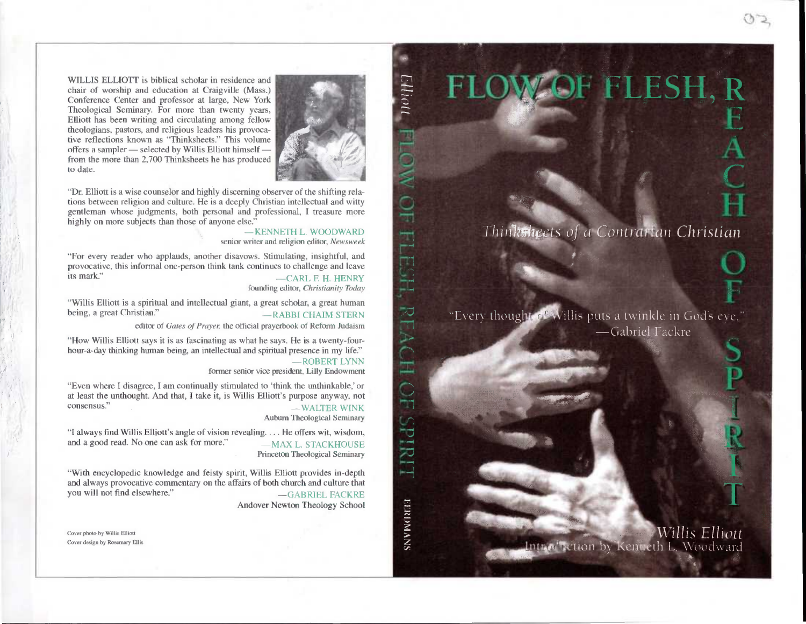WILLIS ELLIOTT is biblical scholar in residence and chair of worship and education at Craigville (Mass.) Conference Center and professor at large, New York Theological Seminary. For more than twenty years, Elliott has been writing and circulating among fellow theologians, pastors, and religious leaders his provocative reflections known as "Thinksheets." This volume offers a sampler — selected by Willis Elliott himself from the more than 2,700 Thinksheets he has produced to date.



"Dr. Elliott is a wise counselor and highly discerning observer of the shifting relations between religion and culture. He is a deeply Christian intellectual and witty gentleman whose judgments, both personal and professional, I treasure more highly on more subjects than those of anyone else."

> — KENNETH L. WOODWARD senior writer and religion editor, *Newsweek*

"For every reader who applauds, another disavows. Stimulating, insightful, and provocative, this informal one-person think tank continues to challenge and leave<br>ts mark."<br> $\overline{C}$  $-CARL$  F. H. HENRY

founding editor, *Christianity Today* 

"Willis Elliott is a spiritual and intellectual giant, a great scholar, a great human  $-$ RABBI CHAIM STERN

editor of *Gates of Prayer,* the official prayerbook of Reform Judaism

"How Willis Elliott says it is as fascinating as what he says. He is a twenty-fourhour-a-day thinking human being, an intellectual and spiritual presence in my life."

—ROBERT LYNN former senior vice president, Lilly Endowment

"Even where I disagree, I am continually stimulated to 'think the unthinkable,' or at least the unthought. And that, I take it, is Willis Elliott's purpose anyway, not consensus." -WALTER WINK

Auburn Theological Seminary

"I always find Willis Elliott's angle of vision revealing. ... He offers wit, wisdom, and a good read. No one can ask for more." —MAX L. STACKHOUSE Princeton Theological Seminary

"With encyclopedic knowledge and feisty spirit, Willis Elliott provides in-depth and always provocative commentary on the affairs of both church and culture that you will not find elsewhere."  $\qquad \qquad - \text{GABRIEI}$  $-$ GABRIEL FACKRE

Andover Newton Theology School

Cover photo by Willis Elliott Cover design by Rosemary Ellis *Thin ksheets of a Contrarian Christian* 

"Every though of Willis puts a twinkle in God's eve." —Gabriel Fackre

> *Willis Elliott*  Introduction by Kenteth L. Woodward

diddido **EERDMANS** 

Elliott

 $\Box$ 

 $\frac{1}{\sqrt{2}}$ 

 $\rightarrow$